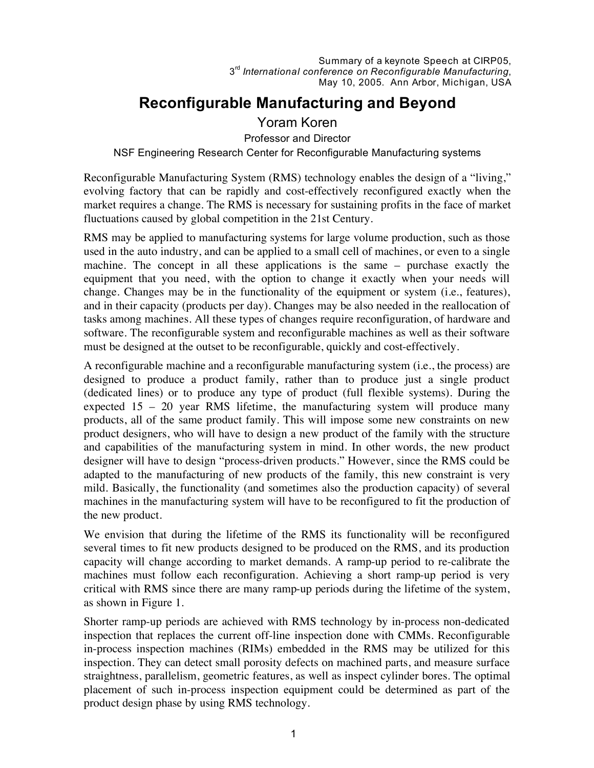# **Reconfigurable Manufacturing and Beyond**

## Yoram Koren

Professor and Director

#### NSF Engineering Research Center for Reconfigurable Manufacturing systems

Reconfigurable Manufacturing System (RMS) technology enables the design of a "living," evolving factory that can be rapidly and cost-effectively reconfigured exactly when the market requires a change. The RMS is necessary for sustaining profits in the face of market fluctuations caused by global competition in the 21st Century.

RMS may be applied to manufacturing systems for large volume production, such as those used in the auto industry, and can be applied to a small cell of machines, or even to a single machine. The concept in all these applications is the same – purchase exactly the equipment that you need, with the option to change it exactly when your needs will change. Changes may be in the functionality of the equipment or system (i.e., features), and in their capacity (products per day). Changes may be also needed in the reallocation of tasks among machines. All these types of changes require reconfiguration, of hardware and software. The reconfigurable system and reconfigurable machines as well as their software must be designed at the outset to be reconfigurable, quickly and cost-effectively.

A reconfigurable machine and a reconfigurable manufacturing system (i.e., the process) are designed to produce a product family, rather than to produce just a single product (dedicated lines) or to produce any type of product (full flexible systems). During the expected 15 – 20 year RMS lifetime, the manufacturing system will produce many products, all of the same product family. This will impose some new constraints on new product designers, who will have to design a new product of the family with the structure and capabilities of the manufacturing system in mind. In other words, the new product designer will have to design "process-driven products." However, since the RMS could be adapted to the manufacturing of new products of the family, this new constraint is very mild. Basically, the functionality (and sometimes also the production capacity) of several machines in the manufacturing system will have to be reconfigured to fit the production of the new product.

We envision that during the lifetime of the RMS its functionality will be reconfigured several times to fit new products designed to be produced on the RMS, and its production capacity will change according to market demands. A ramp-up period to re-calibrate the machines must follow each reconfiguration. Achieving a short ramp-up period is very critical with RMS since there are many ramp-up periods during the lifetime of the system, as shown in Figure 1.

Shorter ramp-up periods are achieved with RMS technology by in-process non-dedicated inspection that replaces the current off-line inspection done with CMMs. Reconfigurable in-process inspection machines (RIMs) embedded in the RMS may be utilized for this inspection. They can detect small porosity defects on machined parts, and measure surface straightness, parallelism, geometric features, as well as inspect cylinder bores. The optimal placement of such in-process inspection equipment could be determined as part of the product design phase by using RMS technology.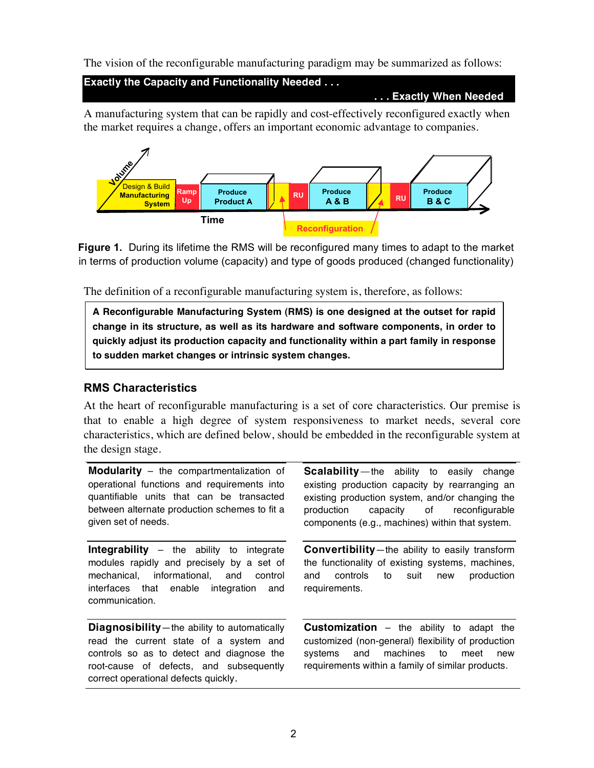The vision of the reconfigurable manufacturing paradigm may be summarized as follows:

**Exactly the Capacity and Functionality Needed . . .**

**. . . Exactly When Needed**

A manufacturing system that can be rapidly and cost-effectively reconfigured exactly when the market requires a change, offers an important economic advantage to companies.



**Figure 1.** During its lifetime the RMS will be reconfigured many times to adapt to the market in terms of production volume (capacity) and type of goods produced (changed functionality)

The definition of a reconfigurable manufacturing system is, therefore, as follows:

**A Reconfigurable Manufacturing System (RMS) is one designed at the outset for rapid change in its structure, as well as its hardware and software components, in order to quickly adjust its production capacity and functionality within a part family in response to sudden market changes or intrinsic system changes.**

#### **RMS Characteristics**

At the heart of reconfigurable manufacturing is a set of core characteristics. Our premise is that to enable a high degree of system responsiveness to market needs, several core characteristics, which are defined below, should be embedded in the reconfigurable system at the design stage.

**Modularity** – the compartmentalization of operational functions and requirements into quantifiable units that can be transacted between alternate production schemes to fit a given set of needs.

**Integrability** – the ability to integrate modules rapidly and precisely by a set of mechanical, informational, and control interfaces that enable integration and communication.

**Diagnosibility**—the ability to automatically read the current state of a system and controls so as to detect and diagnose the root-cause of defects, and subsequently correct operational defects quickly.

**Scalability**—the ability to easily change existing production capacity by rearranging an existing production system, and/or changing the production capacity of reconfigurable components (e.g., machines) within that system.

**Convertibility**—the ability to easily transform the functionality of existing systems, machines, and controls to suit new production requirements.

**Customization** – the ability to adapt the customized (non-general) flexibility of production systems and machines to meet new requirements within a family of similar products.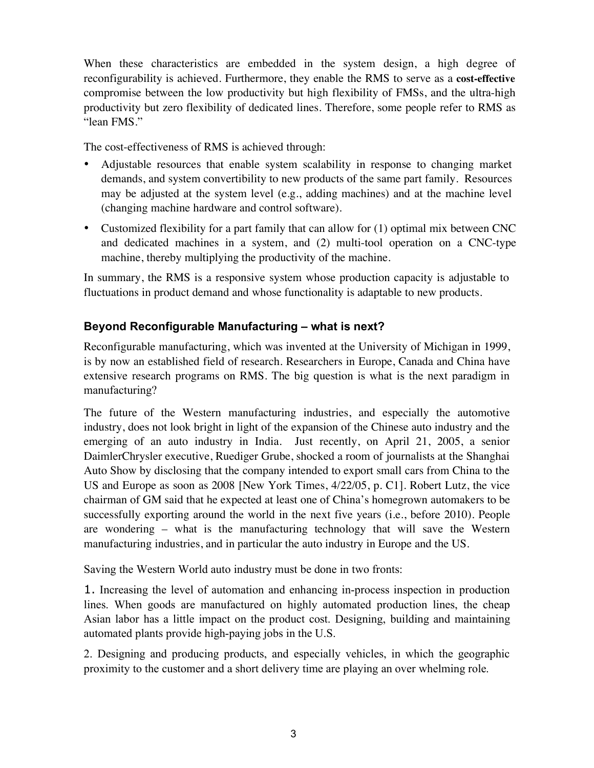When these characteristics are embedded in the system design, a high degree of reconfigurability is achieved. Furthermore, they enable the RMS to serve as a **cost-effective** compromise between the low productivity but high flexibility of FMSs, and the ultra-high productivity but zero flexibility of dedicated lines. Therefore, some people refer to RMS as "lean FMS."

The cost-effectiveness of RMS is achieved through:

- Adjustable resources that enable system scalability in response to changing market demands, and system convertibility to new products of the same part family. Resources may be adjusted at the system level (e.g., adding machines) and at the machine level (changing machine hardware and control software).
- Customized flexibility for a part family that can allow for (1) optimal mix between CNC and dedicated machines in a system, and (2) multi-tool operation on a CNC-type machine, thereby multiplying the productivity of the machine.

In summary, the RMS is a responsive system whose production capacity is adjustable to fluctuations in product demand and whose functionality is adaptable to new products.

## **Beyond Reconfigurable Manufacturing – what is next?**

Reconfigurable manufacturing, which was invented at the University of Michigan in 1999, is by now an established field of research. Researchers in Europe, Canada and China have extensive research programs on RMS. The big question is what is the next paradigm in manufacturing?

The future of the Western manufacturing industries, and especially the automotive industry, does not look bright in light of the expansion of the Chinese auto industry and the emerging of an auto industry in India. Just recently, on April 21, 2005, a senior DaimlerChrysler executive, Ruediger Grube, shocked a room of journalists at the Shanghai Auto Show by disclosing that the company intended to export small cars from China to the US and Europe as soon as 2008 [New York Times, 4/22/05, p. C1]. Robert Lutz, the vice chairman of GM said that he expected at least one of China's homegrown automakers to be successfully exporting around the world in the next five years (i.e., before 2010). People are wondering – what is the manufacturing technology that will save the Western manufacturing industries, and in particular the auto industry in Europe and the US.

Saving the Western World auto industry must be done in two fronts:

1. Increasing the level of automation and enhancing in-process inspection in production lines. When goods are manufactured on highly automated production lines, the cheap Asian labor has a little impact on the product cost. Designing, building and maintaining automated plants provide high-paying jobs in the U.S.

2. Designing and producing products, and especially vehicles, in which the geographic proximity to the customer and a short delivery time are playing an over whelming role.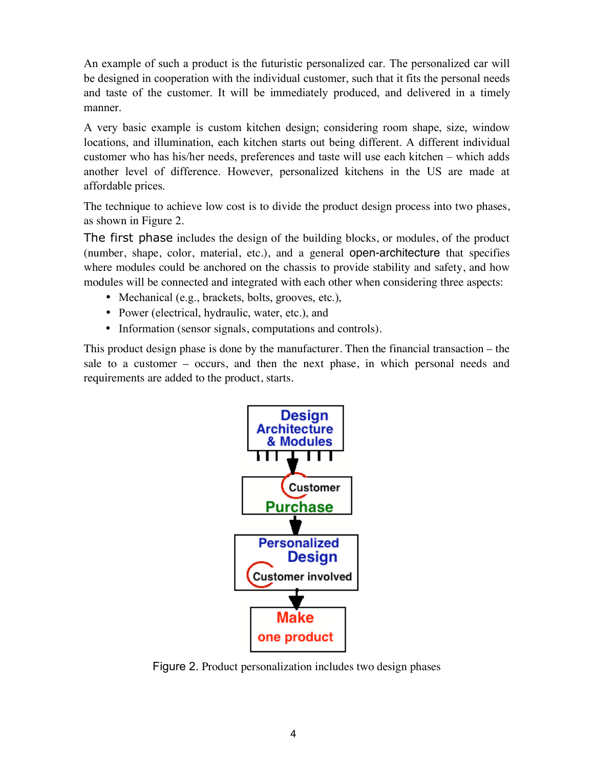An example of such a product is the futuristic personalized car. The personalized car will be designed in cooperation with the individual customer, such that it fits the personal needs and taste of the customer. It will be immediately produced, and delivered in a timely manner.

A very basic example is custom kitchen design; considering room shape, size, window locations, and illumination, each kitchen starts out being different. A different individual customer who has his/her needs, preferences and taste will use each kitchen – which adds another level of difference. However, personalized kitchens in the US are made at affordable prices.

The technique to achieve low cost is to divide the product design process into two phases, as shown in Figure 2.

The first phase includes the design of the building blocks, or modules, of the product (number, shape, color, material, etc.), and a general open-architecture that specifies where modules could be anchored on the chassis to provide stability and safety, and how modules will be connected and integrated with each other when considering three aspects:

- Mechanical (e.g., brackets, bolts, grooves, etc.),
- Power (electrical, hydraulic, water, etc.), and
- Information (sensor signals, computations and controls).

This product design phase is done by the manufacturer. Then the financial transaction – the sale to a customer – occurs, and then the next phase, in which personal needs and requirements are added to the product, starts.



Figure 2. Product personalization includes two design phases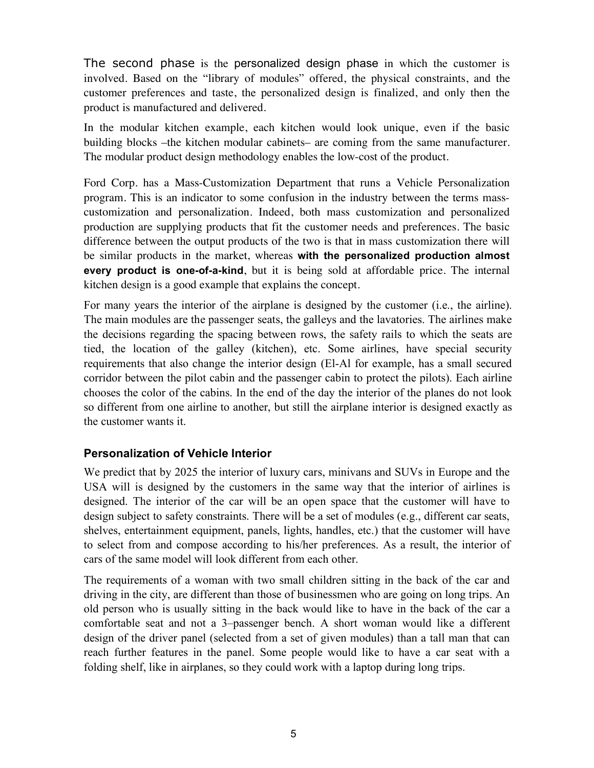The second phase is the personalized design phase in which the customer is involved. Based on the "library of modules" offered, the physical constraints, and the customer preferences and taste, the personalized design is finalized, and only then the product is manufactured and delivered.

In the modular kitchen example, each kitchen would look unique, even if the basic building blocks –the kitchen modular cabinets– are coming from the same manufacturer. The modular product design methodology enables the low-cost of the product.

Ford Corp. has a Mass-Customization Department that runs a Vehicle Personalization program. This is an indicator to some confusion in the industry between the terms masscustomization and personalization. Indeed, both mass customization and personalized production are supplying products that fit the customer needs and preferences. The basic difference between the output products of the two is that in mass customization there will be similar products in the market, whereas **with the personalized production almost every product is one-of-a-kind**, but it is being sold at affordable price. The internal kitchen design is a good example that explains the concept.

For many years the interior of the airplane is designed by the customer (i.e., the airline). The main modules are the passenger seats, the galleys and the lavatories. The airlines make the decisions regarding the spacing between rows, the safety rails to which the seats are tied, the location of the galley (kitchen), etc. Some airlines, have special security requirements that also change the interior design (El-Al for example, has a small secured corridor between the pilot cabin and the passenger cabin to protect the pilots). Each airline chooses the color of the cabins. In the end of the day the interior of the planes do not look so different from one airline to another, but still the airplane interior is designed exactly as the customer wants it.

### **Personalization of Vehicle Interior**

We predict that by 2025 the interior of luxury cars, minivans and SUVs in Europe and the USA will is designed by the customers in the same way that the interior of airlines is designed. The interior of the car will be an open space that the customer will have to design subject to safety constraints. There will be a set of modules (e.g., different car seats, shelves, entertainment equipment, panels, lights, handles, etc.) that the customer will have to select from and compose according to his/her preferences. As a result, the interior of cars of the same model will look different from each other.

The requirements of a woman with two small children sitting in the back of the car and driving in the city, are different than those of businessmen who are going on long trips. An old person who is usually sitting in the back would like to have in the back of the car a comfortable seat and not a 3–passenger bench. A short woman would like a different design of the driver panel (selected from a set of given modules) than a tall man that can reach further features in the panel. Some people would like to have a car seat with a folding shelf, like in airplanes, so they could work with a laptop during long trips.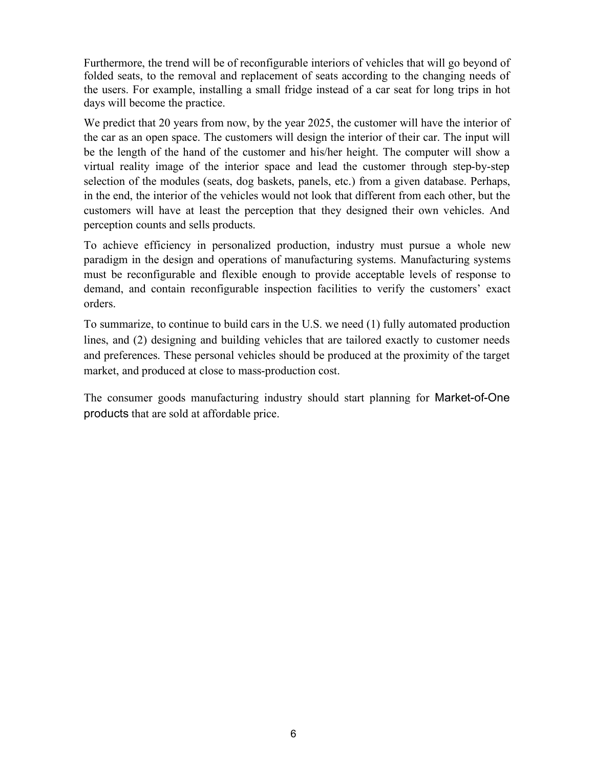Furthermore, the trend will be of reconfigurable interiors of vehicles that will go beyond of folded seats, to the removal and replacement of seats according to the changing needs of the users. For example, installing a small fridge instead of a car seat for long trips in hot days will become the practice.

We predict that 20 years from now, by the year 2025, the customer will have the interior of the car as an open space. The customers will design the interior of their car. The input will be the length of the hand of the customer and his/her height. The computer will show a virtual reality image of the interior space and lead the customer through step-by-step selection of the modules (seats, dog baskets, panels, etc.) from a given database. Perhaps, in the end, the interior of the vehicles would not look that different from each other, but the customers will have at least the perception that they designed their own vehicles. And perception counts and sells products.

To achieve efficiency in personalized production, industry must pursue a whole new paradigm in the design and operations of manufacturing systems. Manufacturing systems must be reconfigurable and flexible enough to provide acceptable levels of response to demand, and contain reconfigurable inspection facilities to verify the customers' exact orders.

To summarize, to continue to build cars in the U.S. we need (1) fully automated production lines, and (2) designing and building vehicles that are tailored exactly to customer needs and preferences. These personal vehicles should be produced at the proximity of the target market, and produced at close to mass-production cost.

The consumer goods manufacturing industry should start planning for Market-of-One products that are sold at affordable price.